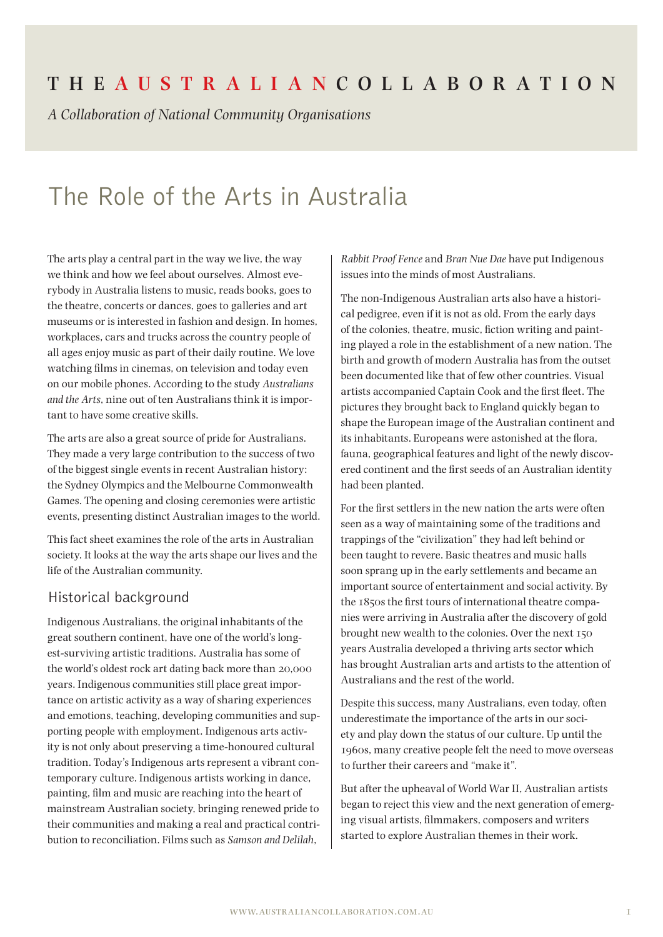## **The Aus t r a l i a n Coll a bor at ion**

*A Collaboration of National Community Organisations*

# The Role of the Arts in Australia

The arts play a central part in the way we live, the way we think and how we feel about ourselves. Almost everybody in Australia listens to music, reads books, goes to the theatre, concerts or dances, goes to galleries and art museums or is interested in fashion and design. In homes, workplaces, cars and trucks across the country people of all ages enjoy music as part of their daily routine. We love watching films in cinemas, on television and today even on our mobile phones. According to the study *Australians and the Arts*, nine out of ten Australians think it is important to have some creative skills.

The arts are also a great source of pride for Australians. They made a very large contribution to the success of two of the biggest single events in recent Australian history: the Sydney Olympics and the Melbourne Commonwealth Games. The opening and closing ceremonies were artistic events, presenting distinct Australian images to the world.

This fact sheet examines the role of the arts in Australian society. It looks at the way the arts shape our lives and the life of the Australian community.

## Historical background

Indigenous Australians, the original inhabitants of the great southern continent, have one of the world's longest-surviving artistic traditions. Australia has some of the world's oldest rock art dating back more than 20,000 years. Indigenous communities still place great importance on artistic activity as a way of sharing experiences and emotions, teaching, developing communities and supporting people with employment. Indigenous arts activity is not only about preserving a time-honoured cultural tradition. Today's Indigenous arts represent a vibrant contemporary culture. Indigenous artists working in dance, painting, film and music are reaching into the heart of mainstream Australian society, bringing renewed pride to their communities and making a real and practical contribution to reconciliation. Films such as *Samson and Delilah*,

*Rabbit Proof Fence* and *Bran Nue Dae* have put Indigenous issues into the minds of most Australians.

The non-Indigenous Australian arts also have a historical pedigree, even if it is not as old. From the early days of the colonies, theatre, music, fiction writing and painting played a role in the establishment of a new nation. The birth and growth of modern Australia has from the outset been documented like that of few other countries. Visual artists accompanied Captain Cook and the first fleet. The pictures they brought back to England quickly began to shape the European image of the Australian continent and its inhabitants. Europeans were astonished at the flora, fauna, geographical features and light of the newly discovered continent and the first seeds of an Australian identity had been planted.

For the first settlers in the new nation the arts were often seen as a way of maintaining some of the traditions and trappings of the "civilization" they had left behind or been taught to revere. Basic theatres and music halls soon sprang up in the early settlements and became an important source of entertainment and social activity. By the 1850s the first tours of international theatre companies were arriving in Australia after the discovery of gold brought new wealth to the colonies. Over the next 150 years Australia developed a thriving arts sector which has brought Australian arts and artists to the attention of Australians and the rest of the world.

Despite this success, many Australians, even today, often underestimate the importance of the arts in our society and play down the status of our culture. Up until the 1960s, many creative people felt the need to move overseas to further their careers and "make it".

But after the upheaval of World War II, Australian artists began to reject this view and the next generation of emerging visual artists, filmmakers, composers and writers started to explore Australian themes in their work.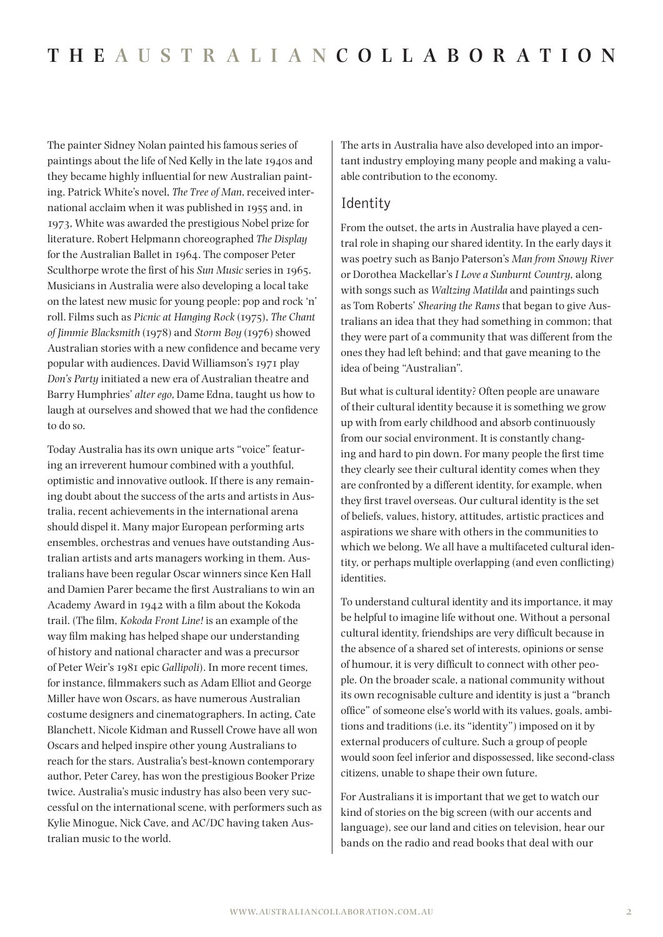The painter Sidney Nolan painted his famous series of paintings about the life of Ned Kelly in the late 1940s and they became highly influential for new Australian painting. Patrick White's novel, *The Tree of Man*, received international acclaim when it was published in 1955 and, in 1973, White was awarded the prestigious Nobel prize for literature. Robert Helpmann choreographed *The Display* for the Australian Ballet in 1964. The composer Peter Sculthorpe wrote the first of his *Sun Music* series in 1965. Musicians in Australia were also developing a local take on the latest new music for young people: pop and rock 'n' roll. Films such as *Picnic at Hanging Rock* (1975), *The Chant of Jimmie Blacksmith* (1978) and *Storm Boy* (1976) showed Australian stories with a new confidence and became very popular with audiences. David Williamson's 1971 play *Don's Party* initiated a new era of Australian theatre and Barry Humphries' *alter ego*, Dame Edna, taught us how to laugh at ourselves and showed that we had the confidence to do so.

Today Australia has its own unique arts "voice" featuring an irreverent humour combined with a youthful, optimistic and innovative outlook. If there is any remaining doubt about the success of the arts and artists in Australia, recent achievements in the international arena should dispel it. Many major European performing arts ensembles, orchestras and venues have outstanding Australian artists and arts managers working in them. Australians have been regular Oscar winners since Ken Hall and Damien Parer became the first Australians to win an Academy Award in 1942 with a film about the Kokoda trail. (The film, *Kokoda Front Line!* is an example of the way film making has helped shape our understanding of history and national character and was a precursor of Peter Weir's 1981 epic *Gallipoli*). In more recent times, for instance, filmmakers such as Adam Elliot and George Miller have won Oscars, as have numerous Australian costume designers and cinematographers. In acting, Cate Blanchett, Nicole Kidman and Russell Crowe have all won Oscars and helped inspire other young Australians to reach for the stars. Australia's best-known contemporary author, Peter Carey, has won the prestigious Booker Prize twice. Australia's music industry has also been very successful on the international scene, with performers such as Kylie Minogue, Nick Cave, and AC/DC having taken Australian music to the world.

The arts in Australia have also developed into an important industry employing many people and making a valuable contribution to the economy.

#### Identity

From the outset, the arts in Australia have played a central role in shaping our shared identity. In the early days it was poetry such as Banjo Paterson's *Man from Snowy River* or Dorothea Mackellar's *I Love a Sunburnt Country*, along with songs such as *Waltzing Matilda* and paintings such as Tom Roberts' *Shearing the Rams* that began to give Australians an idea that they had something in common; that they were part of a community that was different from the ones they had left behind; and that gave meaning to the idea of being "Australian".

But what is cultural identity? Often people are unaware of their cultural identity because it is something we grow up with from early childhood and absorb continuously from our social environment. It is constantly changing and hard to pin down. For many people the first time they clearly see their cultural identity comes when they are confronted by a different identity, for example, when they first travel overseas. Our cultural identity is the set of beliefs, values, history, attitudes, artistic practices and aspirations we share with others in the communities to which we belong. We all have a multifaceted cultural identity, or perhaps multiple overlapping (and even conflicting) identities.

To understand cultural identity and its importance, it may be helpful to imagine life without one. Without a personal cultural identity, friendships are very difficult because in the absence of a shared set of interests, opinions or sense of humour, it is very difficult to connect with other people. On the broader scale, a national community without its own recognisable culture and identity is just a "branch office" of someone else's world with its values, goals, ambitions and traditions (i.e. its "identity") imposed on it by external producers of culture. Such a group of people would soon feel inferior and dispossessed, like second-class citizens, unable to shape their own future.

For Australians it is important that we get to watch our kind of stories on the big screen (with our accents and language), see our land and cities on television, hear our bands on the radio and read books that deal with our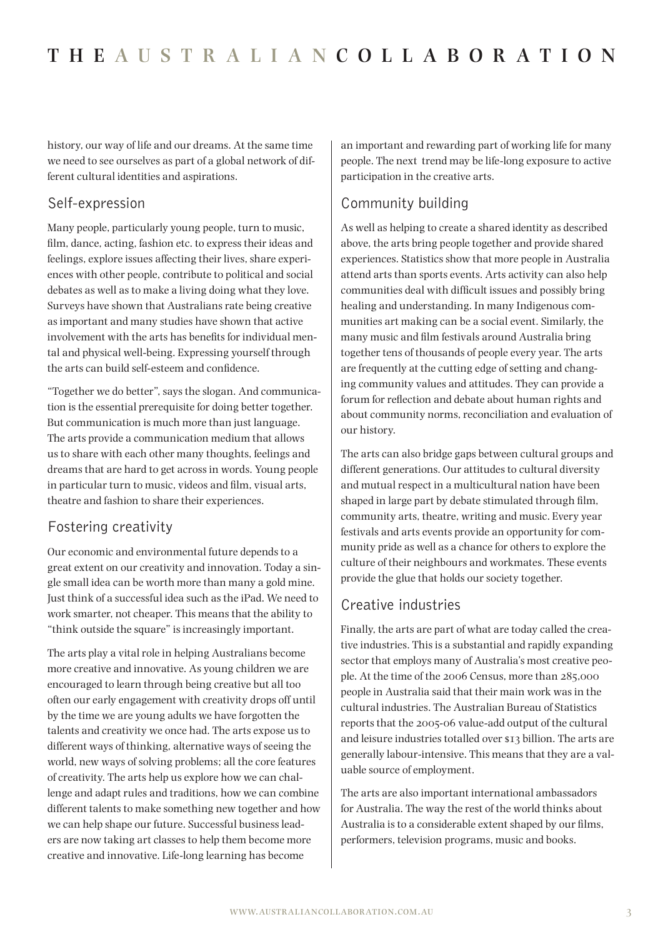history, our way of life and our dreams. At the same time we need to see ourselves as part of a global network of different cultural identities and aspirations.

## Self-expression

Many people, particularly young people, turn to music, film, dance, acting, fashion etc. to express their ideas and feelings, explore issues affecting their lives, share experiences with other people, contribute to political and social debates as well as to make a living doing what they love. Surveys have shown that Australians rate being creative as important and many studies have shown that active involvement with the arts has benefits for individual mental and physical well-being. Expressing yourself through the arts can build self-esteem and confidence.

"Together we do better", says the slogan. And communication is the essential prerequisite for doing better together. But communication is much more than just language. The arts provide a communication medium that allows us to share with each other many thoughts, feelings and dreams that are hard to get across in words. Young people in particular turn to music, videos and film, visual arts, theatre and fashion to share their experiences.

## Fostering creativity

Our economic and environmental future depends to a great extent on our creativity and innovation. Today a single small idea can be worth more than many a gold mine. Just think of a successful idea such as the iPad. We need to work smarter, not cheaper. This means that the ability to "think outside the square" is increasingly important.

The arts play a vital role in helping Australians become more creative and innovative. As young children we are encouraged to learn through being creative but all too often our early engagement with creativity drops off until by the time we are young adults we have forgotten the talents and creativity we once had. The arts expose us to different ways of thinking, alternative ways of seeing the world, new ways of solving problems; all the core features of creativity. The arts help us explore how we can challenge and adapt rules and traditions, how we can combine different talents to make something new together and how we can help shape our future. Successful business leaders are now taking art classes to help them become more creative and innovative. Life-long learning has become

an important and rewarding part of working life for many people. The next trend may be life-long exposure to active participation in the creative arts.

## Community building

As well as helping to create a shared identity as described above, the arts bring people together and provide shared experiences. Statistics show that more people in Australia attend arts than sports events. Arts activity can also help communities deal with difficult issues and possibly bring healing and understanding. In many Indigenous communities art making can be a social event. Similarly, the many music and film festivals around Australia bring together tens of thousands of people every year. The arts are frequently at the cutting edge of setting and changing community values and attitudes. They can provide a forum for reflection and debate about human rights and about community norms, reconciliation and evaluation of our history.

The arts can also bridge gaps between cultural groups and different generations. Our attitudes to cultural diversity and mutual respect in a multicultural nation have been shaped in large part by debate stimulated through film, community arts, theatre, writing and music. Every year festivals and arts events provide an opportunity for community pride as well as a chance for others to explore the culture of their neighbours and workmates. These events provide the glue that holds our society together.

## Creative industries

Finally, the arts are part of what are today called the creative industries. This is a substantial and rapidly expanding sector that employs many of Australia's most creative people. At the time of the 2006 Census, more than 285,000 people in Australia said that their main work was in the cultural industries. The Australian Bureau of Statistics reports that the 2005-06 value-add output of the cultural and leisure industries totalled over \$13 billion. The arts are generally labour-intensive. This means that they are a valuable source of employment.

The arts are also important international ambassadors for Australia. The way the rest of the world thinks about Australia is to a considerable extent shaped by our films, performers, television programs, music and books.